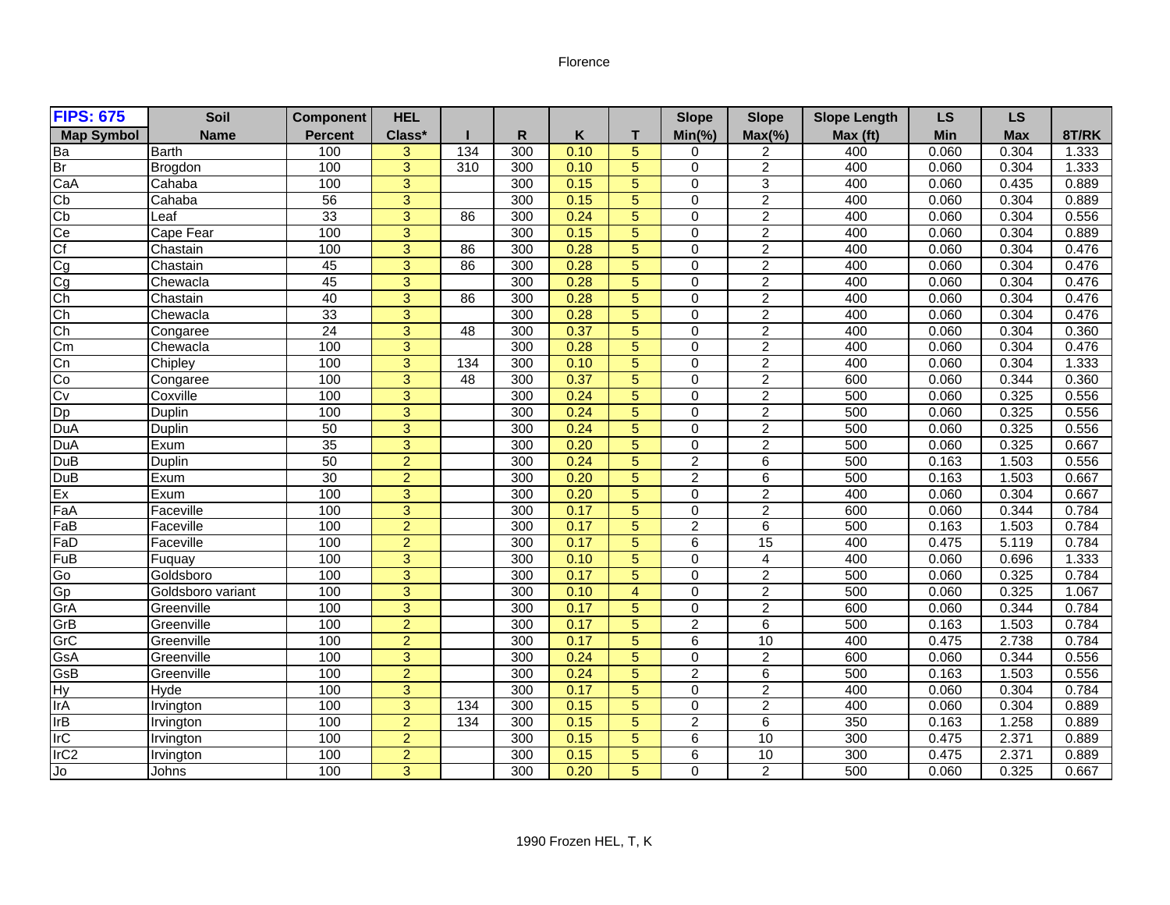## Florence

| <b>FIPS: 675</b>   | Soil              | <b>Component</b> | <b>HEL</b>     |     |                  |      |                | <b>Slope</b>   | <b>Slope</b>   | <b>Slope Length</b> | <b>LS</b>  | <b>LS</b>  |       |
|--------------------|-------------------|------------------|----------------|-----|------------------|------|----------------|----------------|----------------|---------------------|------------|------------|-------|
| <b>Map Symbol</b>  | <b>Name</b>       | <b>Percent</b>   | Class*         |     | R                | Κ    | т              | $Min(\% )$     | $Max(\% )$     | Max (ft)            | <b>Min</b> | <b>Max</b> | 8T/RK |
|                    | <b>Barth</b>      | 100              | 3              | 134 | 300              | 0.10 | 5              | 0              | 2              | 400                 | 0.060      | 0.304      | 1.333 |
| 이어                 | Brogdon           | 100              | $\overline{3}$ | 310 | 300              | 0.10 | $\overline{5}$ | $\Omega$       | $\overline{2}$ | 400                 | 0.060      | 0.304      | 1.333 |
| CaA                | Cahaba            | 100              | $\overline{3}$ |     | 300              | 0.15 | 5              | $\mathbf 0$    | $\overline{3}$ | 400                 | 0.060      | 0.435      | 0.889 |
| Cb                 | Cahaba            | 56               | 3              |     | 300              | 0.15 | 5              | $\Omega$       | $\overline{2}$ | 400                 | 0.060      | 0.304      | 0.889 |
| $\frac{Cb}{Ce}$    | Leaf              | 33               | 3              | 86  | 300              | 0.24 | 5              | $\Omega$       | $\overline{2}$ | 400                 | 0.060      | 0.304      | 0.556 |
|                    | Cape Fear         | 100              | $\overline{3}$ |     | $\overline{300}$ | 0.15 | 5              | $\Omega$       | $\overline{2}$ | 400                 | 0.060      | 0.304      | 0.889 |
| $\overline{C}$ f   | Chastain          | 100              | $\overline{3}$ | 86  | 300              | 0.28 | 5              | $\Omega$       | $\overline{2}$ | 400                 | 0.060      | 0.304      | 0.476 |
|                    | Chastain          | 45               | 3              | 86  | 300              | 0.28 | 5              | $\Omega$       | $\overline{2}$ | 400                 | 0.060      | 0.304      | 0.476 |
| <mark>ෆ ෆ ෆ</mark> | Chewacla          | 45               | 3              |     | 300              | 0.28 | 5              | $\Omega$       | $\overline{2}$ | 400                 | 0.060      | 0.304      | 0.476 |
|                    | Chastain          | 40               | 3              | 86  | 300              | 0.28 | 5              | $\mathbf 0$    | $\sqrt{2}$     | 400                 | 0.060      | 0.304      | 0.476 |
|                    | Chewacla          | 33               | $\overline{3}$ |     | 300              | 0.28 | 5              | $\Omega$       | $\overline{2}$ | 400                 | 0.060      | 0.304      | 0.476 |
| Ch                 | Congaree          | $\overline{24}$  | 3              | 48  | 300              | 0.37 | 5              | $\Omega$       | $\overline{2}$ | 400                 | 0.060      | 0.304      | 0.360 |
| $\overline{cm}$    | Chewacla          | 100              | $\overline{3}$ |     | $\overline{300}$ | 0.28 | $\overline{5}$ | $\Omega$       | $\overline{2}$ | 400                 | 0.060      | 0.304      | 0.476 |
| Cn                 | Chipley           | 100              | 3              | 134 | 300              | 0.10 | 5              | $\Omega$       | $\overline{2}$ | 400                 | 0.060      | 0.304      | 1.333 |
| Co                 | Congaree          | 100              | 3              | 48  | 300              | 0.37 | $\overline{5}$ | $\mathbf 0$    | $\sqrt{2}$     | 600                 | 0.060      | 0.344      | 0.360 |
| Cv                 | Coxville          | 100              | 3              |     | 300              | 0.24 | 5              | $\Omega$       | $\overline{2}$ | 500                 | 0.060      | 0.325      | 0.556 |
| $\overline{DP}$    | Duplin            | 100              | 3              |     | 300              | 0.24 | 5              | $\Omega$       | $\overline{2}$ | 500                 | 0.060      | 0.325      | 0.556 |
| DuA                | Duplin            | 50               | 3              |     | 300              | 0.24 | 5              | $\Omega$       | $\overline{2}$ | 500                 | 0.060      | 0.325      | 0.556 |
| DuA                | Exum              | $\overline{35}$  | $\overline{3}$ |     | 300              | 0.20 | $\overline{5}$ | $\mathbf 0$    | $\overline{c}$ | 500                 | 0.060      | 0.325      | 0.667 |
| <b>DuB</b>         | <b>Duplin</b>     | 50               | $\overline{c}$ |     | 300              | 0.24 | 5              | $\overline{2}$ | 6              | 500                 | 0.163      | 1.503      | 0.556 |
| DuB                | Exum              | 30               | $\overline{2}$ |     | 300              | 0.20 | $\overline{5}$ | $\overline{2}$ | $\overline{6}$ | 500                 | 0.163      | 1.503      | 0.667 |
| Ex                 | Exum              | 100              | 3              |     | 300              | 0.20 | 5              | $\Omega$       | $\overline{c}$ | 400                 | 0.060      | 0.304      | 0.667 |
| FaA                | Faceville         | 100              | $\overline{3}$ |     | 300              | 0.17 | $\overline{5}$ | $\mathbf 0$    | $\overline{2}$ | 600                 | 0.060      | 0.344      | 0.784 |
| FaB                | Faceville         | 100              | $\overline{2}$ |     | 300              | 0.17 | 5              | $\overline{2}$ | $\overline{6}$ | 500                 | 0.163      | 1.503      | 0.784 |
| FaD                | Faceville         | 100              | $\overline{2}$ |     | 300              | 0.17 | 5              | 6              | 15             | 400                 | 0.475      | 5.119      | 0.784 |
| FuB                | Fuquay            | 100              | 3              |     | 300              | 0.10 | 5              | 0              | 4              | 400                 | 0.060      | 0.696      | 1.333 |
| Go                 | Goldsboro         | 100              | $\overline{3}$ |     | 300              | 0.17 | $\overline{5}$ | $\mathbf 0$    | $\overline{2}$ | 500                 | 0.060      | 0.325      | 0.784 |
| Gp                 | Goldsboro variant | 100              | $\overline{3}$ |     | 300              | 0.10 | $\overline{4}$ | $\Omega$       | $\overline{2}$ | 500                 | 0.060      | 0.325      | 1.067 |
| GrA                | Greenville        | 100              | $\overline{3}$ |     | 300              | 0.17 | 5              | $\mathbf 0$    | $\overline{2}$ | 600                 | 0.060      | 0.344      | 0.784 |
| GrB                | Greenville        | 100              | $\overline{2}$ |     | 300              | 0.17 | 5              | 2              | $\overline{6}$ | 500                 | 0.163      | 1.503      | 0.784 |
| GrC                | Greenville        | 100              | $\overline{a}$ |     | 300              | 0.17 | 5              | 6              | $10$           | 400                 | 0.475      | 2.738      | 0.784 |
| GsA                | Greenville        | 100              | $\overline{3}$ |     | 300              | 0.24 | 5              | $\Omega$       | $\overline{2}$ | 600                 | 0.060      | 0.344      | 0.556 |
| GsB                | Greenville        | 100              | $\overline{2}$ |     | 300              | 0.24 | 5              | $\overline{2}$ | $\overline{6}$ | 500                 | 0.163      | 1.503      | 0.556 |
| <b>Hy</b>          | Hyde              | 100              | 3              |     | 300              | 0.17 | 5              | $\Omega$       | $\overline{2}$ | 400                 | 0.060      | 0.304      | 0.784 |
| IrA                | Irvington         | 100              | $\overline{3}$ | 134 | $\overline{300}$ | 0.15 | 5              | $\Omega$       | $\overline{2}$ | 400                 | 0.060      | 0.304      | 0.889 |
| IrB                | Irvington         | 100              | $\overline{2}$ | 134 | 300              | 0.15 | 5              | $\overline{2}$ | $\overline{6}$ | 350                 | 0.163      | 1.258      | 0.889 |
| <b>IrC</b>         | Irvington         | 100              | $\overline{2}$ |     | 300              | 0.15 | 5              | 6              | 10             | 300                 | 0.475      | 2.371      | 0.889 |
| IrC <sub>2</sub>   | Irvington         | 100              | $\overline{2}$ |     | 300              | 0.15 | 5              | 6              | 10             | 300                 | 0.475      | 2.371      | 0.889 |
| ЭC                 | <b>Johns</b>      | 100              | 3              |     | 300              | 0.20 | 5              | $\Omega$       | $\overline{2}$ | 500                 | 0.060      | 0.325      | 0.667 |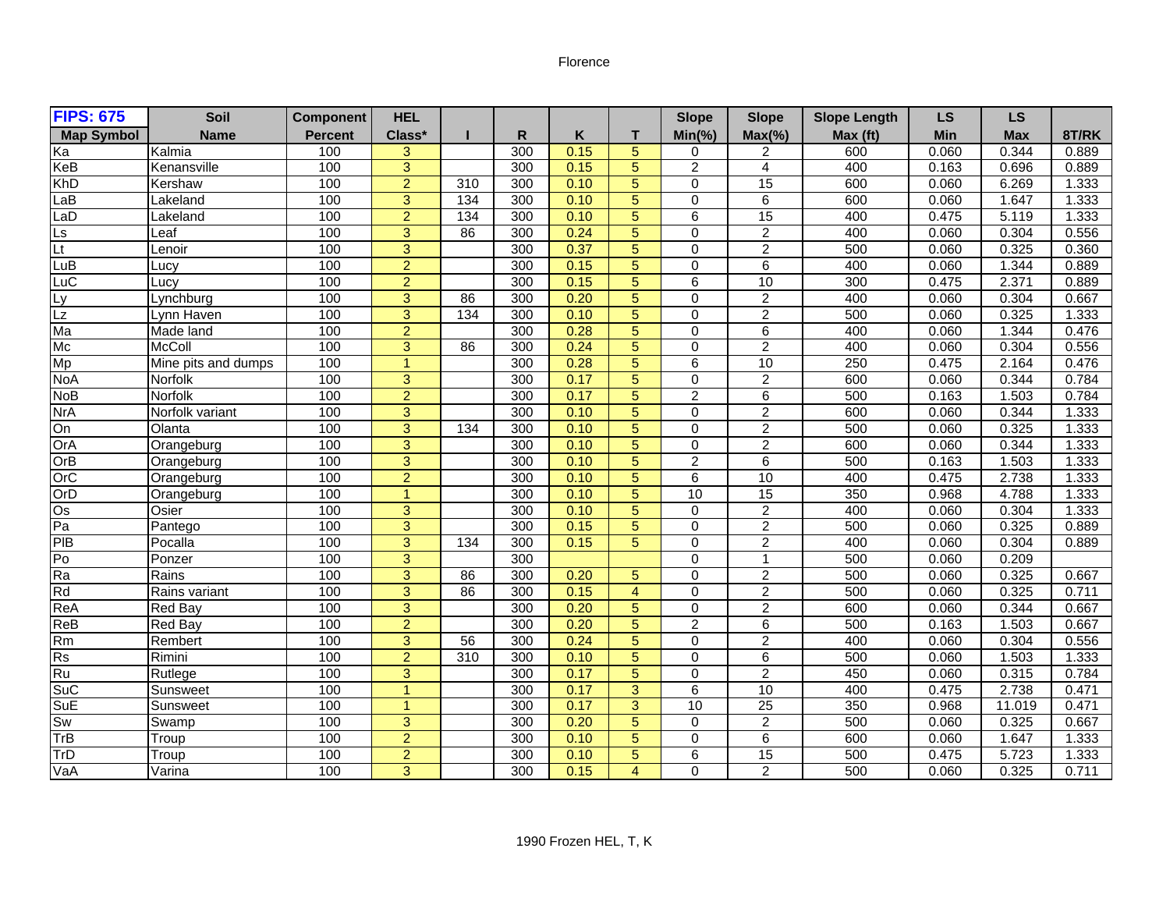## Florence

| <b>FIPS: 675</b>  | <b>Soil</b>         | <b>Component</b> | <b>HEL</b>     |                 |                  |      |                | <b>Slope</b>   | <b>Slope</b>    | <b>Slope Length</b> | <b>LS</b> | <b>LS</b>  |       |
|-------------------|---------------------|------------------|----------------|-----------------|------------------|------|----------------|----------------|-----------------|---------------------|-----------|------------|-------|
| <b>Map Symbol</b> | <b>Name</b>         | <b>Percent</b>   | Class*         |                 | R                | Κ    | т              | $Min(\% )$     | $Max(\% )$      | Max (ft)            | Min       | <b>Max</b> | 8T/RK |
| Ka                | Kalmia              | 100              | 3              |                 | 300              | 0.15 | 5              | 0              | 2               | 600                 | 0.060     | 0.344      | 0.889 |
| KeB               | Kenansville         | 100              | $\overline{3}$ |                 | 300              | 0.15 | $\overline{5}$ | $\overline{2}$ | $\overline{4}$  | 400                 | 0.163     | 0.696      | 0.889 |
| <b>KhD</b>        | Kershaw             | 100              | $\overline{2}$ | 310             | 300              | 0.10 | 5              | $\mathbf 0$    | 15              | 600                 | 0.060     | 6.269      | 1.333 |
| LaB               | Lakeland            | 100              | 3              | 134             | 300              | 0.10 | 5              | $\Omega$       | $\overline{6}$  | 600                 | 0.060     | 1.647      | 1.333 |
| LaD               | Lakeland            | 100              | $\overline{2}$ | 134             | 300              | 0.10 | 5              | 6              | 15              | 400                 | 0.475     | 5.119      | 1.333 |
| L <sub>s</sub>    | Leaf                | 100              | $\overline{3}$ | 86              | $\overline{300}$ | 0.24 | 5              | $\Omega$       | $\overline{c}$  | 400                 | 0.060     | 0.304      | 0.556 |
| Lt                | Lenoir              | 100              | $\overline{3}$ |                 | 300              | 0.37 | $\overline{5}$ | $\Omega$       | $\overline{2}$  | 500                 | 0.060     | 0.325      | 0.360 |
| LuB               | Lucy                | 100              | $\overline{2}$ |                 | 300              | 0.15 | 5              | $\Omega$       | 6               | 400                 | 0.060     | 1.344      | 0.889 |
| LuC               | Lucv                | 100              | $\overline{2}$ |                 | 300              | 0.15 | 5              | 6              | 10              | 300                 | 0.475     | 2.371      | 0.889 |
| Ly                | Lynchburg           | 100              | 3              | 86              | 300              | 0.20 | 5              | $\mathbf 0$    | $\overline{c}$  | 400                 | 0.060     | 0.304      | 0.667 |
| $\overline{L}$    | Lynn Haven          | 100              | $\overline{3}$ | 134             | 300              | 0.10 | 5              | $\Omega$       | $\overline{2}$  | 500                 | 0.060     | 0.325      | 1.333 |
| Ma                | Made land           | 100              | $\overline{2}$ |                 | 300              | 0.28 | 5              | $\Omega$       | $\overline{6}$  | 400                 | 0.060     | 1.344      | 0.476 |
| Mc                | <b>McColl</b>       | 100              | $\overline{3}$ | $\overline{86}$ | 300              | 0.24 | $\overline{5}$ | $\Omega$       | $\overline{2}$  | 400                 | 0.060     | 0.304      | 0.556 |
| Mp                | Mine pits and dumps | 100              | 1              |                 | 300              | 0.28 | 5              | 6              | 10              | 250                 | 0.475     | 2.164      | 0.476 |
| <b>NoA</b>        | Norfolk             | 100              | 3              |                 | $\overline{300}$ | 0.17 | 5              | $\mathbf 0$    | $\overline{2}$  | 600                 | 0.060     | 0.344      | 0.784 |
| <b>NoB</b>        | Norfolk             | 100              | $\overline{2}$ |                 | 300              | 0.17 | 5              | $\overline{c}$ | $\overline{6}$  | 500                 | 0.163     | 1.503      | 0.784 |
| <b>NrA</b>        | Norfolk variant     | 100              | 3              |                 | $\overline{300}$ | 0.10 | $\overline{5}$ | $\Omega$       | $\overline{2}$  | 600                 | 0.060     | 0.344      | 1.333 |
| On                | Olanta              | 100              | 3              | 134             | 300              | 0.10 | 5              | $\Omega$       | $\overline{2}$  | 500                 | 0.060     | 0.325      | 1.333 |
| OrA               | Orangeburg          | 100              | $\overline{3}$ |                 | 300              | 0.10 | $\overline{5}$ | $\mathbf 0$    | $\overline{2}$  | 600                 | 0.060     | 0.344      | 1.333 |
| OrB               | Orangeburg          | 100              | 3              |                 | 300              | 0.10 | 5              | 2              | 6               | 500                 | 0.163     | 1.503      | 1.333 |
| OrC               | Orangeburg          | 100              | $\overline{2}$ |                 | 300              | 0.10 | 5              | 6              | 10              | 400                 | 0.475     | 2.738      | 1.333 |
| OrD               | Orangeburg          | 100              | $\overline{1}$ |                 | 300              | 0.10 | 5              | 10             | $\overline{15}$ | 350                 | 0.968     | 4.788      | 1.333 |
| $\overline{Os}$   | Osier               | 100              | $\overline{3}$ |                 | 300              | 0.10 | $\overline{5}$ | $\mathbf 0$    | $\overline{2}$  | 400                 | 0.060     | 0.304      | 1.333 |
| Pa                | Pantego             | 100              | $\overline{3}$ |                 | 300              | 0.15 | $\overline{5}$ | $\Omega$       | $\overline{2}$  | 500                 | 0.060     | 0.325      | 0.889 |
| PIB               | Pocalla             | 100              | $\overline{3}$ | 134             | 300              | 0.15 | 5              | $\mathbf 0$    | $\overline{2}$  | 400                 | 0.060     | 0.304      | 0.889 |
| Pо                | Ponzer              | 100              | 3              |                 | 300              |      |                | $\mathbf 0$    | 1               | 500                 | 0.060     | 0.209      |       |
| Ra                | Rains               | 100              | $\overline{3}$ | 86              | 300              | 0.20 | 5              | $\mathbf 0$    | $\overline{2}$  | 500                 | 0.060     | 0.325      | 0.667 |
| Rd                | Rains variant       | 100              | $\overline{3}$ | 86              | 300              | 0.15 | $\overline{4}$ | $\Omega$       | $\overline{2}$  | 500                 | 0.060     | 0.325      | 0.711 |
| ReA               | <b>Red Bay</b>      | 100              | 3              |                 | 300              | 0.20 | 5              | $\mathbf 0$    | $\overline{2}$  | 600                 | 0.060     | 0.344      | 0.667 |
| ReB               | <b>Red Bay</b>      | 100              | $\overline{2}$ |                 | 300              | 0.20 | 5              | $\overline{c}$ | $\overline{6}$  | 500                 | 0.163     | 1.503      | 0.667 |
| Rm                | Rembert             | 100              | 3              | 56              | 300              | 0.24 | 5              | 0              | $\overline{2}$  | 400                 | 0.060     | 0.304      | 0.556 |
| Rs                | Rimini              | 100              | $\overline{2}$ | 310             | 300              | 0.10 | 5              | $\Omega$       | 6               | 500                 | 0.060     | 1.503      | 1.333 |
| Ru                | Rutlege             | 100              | 3              |                 | $\overline{300}$ | 0.17 | 5              | $\Omega$       | $\overline{2}$  | 450                 | 0.060     | 0.315      | 0.784 |
| SuC               | Sunsweet            | 100              | $\mathbf{1}$   |                 | 300              | 0.17 | 3              | 6              | 10              | 400                 | 0.475     | 2.738      | 0.471 |
| SuE               | Sunsweet            | 100              | 1              |                 | $\overline{300}$ | 0.17 | $\overline{3}$ | 10             | $\overline{25}$ | 350                 | 0.968     | 11.019     | 0.471 |
| Sw                | Swamp               | 100              | $\overline{3}$ |                 | 300              | 0.20 | 5              | $\mathbf 0$    | $\overline{2}$  | 500                 | 0.060     | 0.325      | 0.667 |
| TrB               | Troup               | 100              | $\overline{2}$ |                 | 300              | 0.10 | 5              | $\Omega$       | 6               | 600                 | 0.060     | 1.647      | 1.333 |
| TrD               | Troup               | 100              | $\overline{2}$ |                 | 300              | 0.10 | 5              | 6              | $\overline{15}$ | 500                 | 0.475     | 5.723      | 1.333 |
| VaA               | Varina              | 100              | 3              |                 | 300              | 0.15 | $\overline{4}$ | $\Omega$       | $\overline{2}$  | 500                 | 0.060     | 0.325      | 0.711 |